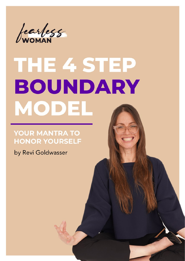

# THE 4 STEP BOUNDARY MODEL

#### **YOUR MANTRA TO HONOR YOURSELF**

by Revi Goldwasser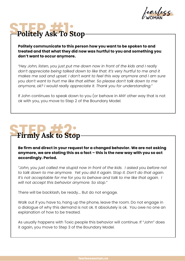

### **Politely Ask To Stop**

**Politely communicate to this person how you want to be spoken to and treated and that what they did now was hurtful to you and something you don't want to occur anymore.** 

*"Hey John, listen, you just put me down now in front of the kids and I really*  don't appreciate being talked down to like that. It's very hurtful to me and it *makes me sad and upset. I don't want to feel this way anymore and I am sure you don't want to hurt me like that either. So please don't talk down to me anymore, ok? I would really appreciate it. Thank you for understanding."*

If John continues to speak down to you (or behave in ANY other way that is not ok with you, you move to Step 2 of the Boundary Model.

# **STEP #2: 1999 #2: 1999 #2: 1999 #2: 1999 #2: 1999 #2: 1999 #2: 1999 #2: 1999 #2: 1999 #2: 1999 #2: 1999 #2: 1999 #2: 1999 #2: 1999 #2: 1999 #2: 1999 #2: 1999 #2: 1999 #2: 1999 #2: 1999 #2: 1999 #2: 1999 #2: 1999 #2: 1999**

**Be firm and direct in your request for a changed behavior. We are not asking anymore, we are stating this as a fact – this is the new way with you so act accordingly. Period.** 

*"John, you just called me stupid now in front of the kids. I asked you before not to talk down to me anymore. Yet you did it again. Stop it. Don't do that again.*  It's not acceptable for me for you to behave and talk to me like that again. I *will not accept this behavior anymore. So stop."*

There will be backlash, be ready…. But do not engage.

Walk out if you have to, hang up the phone, leave the room. Do not engage in a dialogue of why this demand is not ok. It absolutely is ok. You owe no one an explanation of how to be treated.

As usually happens with Toxic people this behavior will continue. If "John" does it again, you move to Step 3 of the Boundary Model.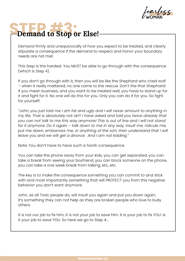earless

#### Demand to Stop or Else!

Demand firmly and unequivocally of how you expect to be treated, and clearly stipulate a consequence if the demand to respect and honor your boundary needs are not met.

This Step is the hardest. You MUST be able to go through with the consequence (which is Step 4).

If you don't go through with it, then you will be like the Shephard who cried wolf – when it really mattered, no one came to the rescue. Don't the that Shephard! If you mean business, and you want to be treated well, you have to stand up for it and fight for it. No one will do this for you. Only you can do it for you. So fight for yourself!

*"John, you just told me I am fat and ugly and I will never amount to anything in my life. That is absolutely not ok!!! I have asked and told you twice already that you can not talk to me this way anymore! This is out of line and I will not stand for it anymore. Do it again – talk down to me in any way, insult me, ridicule me,*  put me down, embarrass me, or anything of the sort, then understand that I will *leave you and we will get a divorce. And I am not kidding."*

Note: You don't have to have such a harsh consequence.

You can take the phone away from your kids, you can get separated, you can take a break from seeing your boyfriend, you can block someone on the phone, you can take a one week break from talking, etc, etc.

The key is to make the consequence something you can commit to and stick with and most importantly something that will PROTECT you from this negative behavior you don't want anymore.

John, as all Toxic people do, will insult you again and put you down again, it's something they can not help as they are broken people who love to bully others.

It is not our job to fix him, it is not your job to save him. It is your job to fix YOU. Is it your job to save YOU. So here we go to Step 4….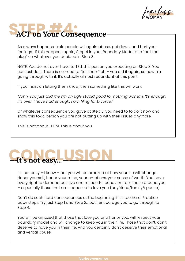earless

#### **STEP ACT on Your Consequence**

As always happens, toxic people will again abuse, put down, and hurt your feelings. If this happens again, Step 4 in your Boundary Model is to "pull the plug" on whatever you decided in Step 3.

NOTE: You do not even have to TELL this person you executing on Step 3. You can just do it. There is no need to "tell them" oh – you did it again, so now I'm going through with it. It's actually almost redundant at this point.

If you insist on letting them know, then something like this will work:

*"John, you just told me I'm an ugly stupid good for nothing woman. It's enough. It's over. I have had enough. I am filing for Divorce."*

Or whatever consequence you gave at Step 3, you need to to do it now and show this toxic person you are not putting up with their issues anymore.

This is not about THEM. This is about you.

# Let's not easy... USION

It's not easy – I know – but you will be amazed at how your life will change. Honor yourself, honor your mind, your emotions, your sense of worth. You have every right to demand positive and respectful behavior from those around you – especially those that are supposed to love you (boyfriend/family/spouse).

Don't do such hard consequences at the beginning if it's too hard. Practice baby steps. Try just Step 1 and Step 2… but I encourage you to go through to Step 4.

You will be amazed that those that love you and honor you, will respect your boundary model and will change to keep you in their life. Those that don't, don't deserve to have you in their life. And you certainly don't deserve their emotional and verbal abuse.